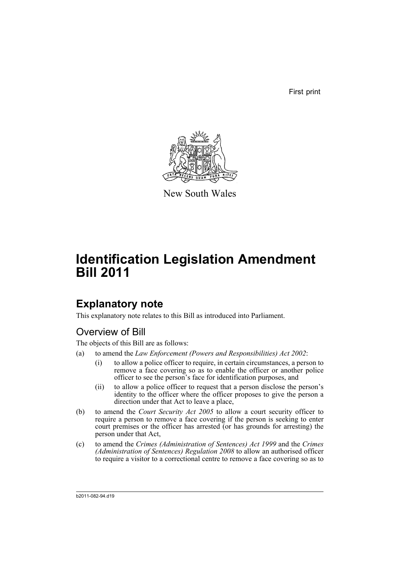First print



New South Wales

# **Identification Legislation Amendment Bill 2011**

## **Explanatory note**

This explanatory note relates to this Bill as introduced into Parliament.

## Overview of Bill

The objects of this Bill are as follows:

- (a) to amend the *Law Enforcement (Powers and Responsibilities) Act 2002*:
	- (i) to allow a police officer to require, in certain circumstances, a person to remove a face covering so as to enable the officer or another police officer to see the person's face for identification purposes, and
	- (ii) to allow a police officer to request that a person disclose the person's identity to the officer where the officer proposes to give the person a direction under that Act to leave a place,
- (b) to amend the *Court Security Act 2005* to allow a court security officer to require a person to remove a face covering if the person is seeking to enter court premises or the officer has arrested (or has grounds for arresting) the person under that Act,
- (c) to amend the *Crimes (Administration of Sentences) Act 1999* and the *Crimes (Administration of Sentences) Regulation 2008* to allow an authorised officer to require a visitor to a correctional centre to remove a face covering so as to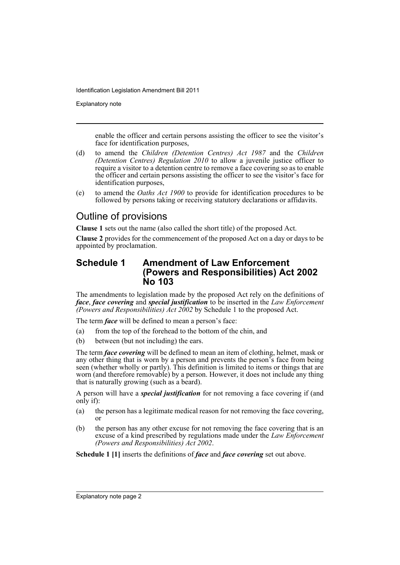Explanatory note

enable the officer and certain persons assisting the officer to see the visitor's face for identification purposes,

- (d) to amend the *Children (Detention Centres) Act 1987* and the *Children (Detention Centres) Regulation 2010* to allow a juvenile justice officer to require a visitor to a detention centre to remove a face covering so as to enable the officer and certain persons assisting the officer to see the visitor's face for identification purposes,
- (e) to amend the *Oaths Act 1900* to provide for identification procedures to be followed by persons taking or receiving statutory declarations or affidavits.

### Outline of provisions

**Clause 1** sets out the name (also called the short title) of the proposed Act.

**Clause 2** provides for the commencement of the proposed Act on a day or days to be appointed by proclamation.

### **Schedule 1 Amendment of Law Enforcement (Powers and Responsibilities) Act 2002 No 103**

The amendments to legislation made by the proposed Act rely on the definitions of *face*, *face covering* and *special justification* to be inserted in the *Law Enforcement (Powers and Responsibilities) Act 2002* by Schedule 1 to the proposed Act.

The term *face* will be defined to mean a person's face:

- (a) from the top of the forehead to the bottom of the chin, and
- (b) between (but not including) the ears.

The term *face covering* will be defined to mean an item of clothing, helmet, mask or any other thing that is worn by a person and prevents the person's face from being seen (whether wholly or partly). This definition is limited to items or things that are worn (and therefore removable) by a person. However, it does not include any thing that is naturally growing (such as a beard).

A person will have a *special justification* for not removing a face covering if (and only if):

- (a) the person has a legitimate medical reason for not removing the face covering, or
- (b) the person has any other excuse for not removing the face covering that is an excuse of a kind prescribed by regulations made under the *Law Enforcement (Powers and Responsibilities) Act 2002*.

**Schedule 1 [1]** inserts the definitions of *face* and *face covering* set out above.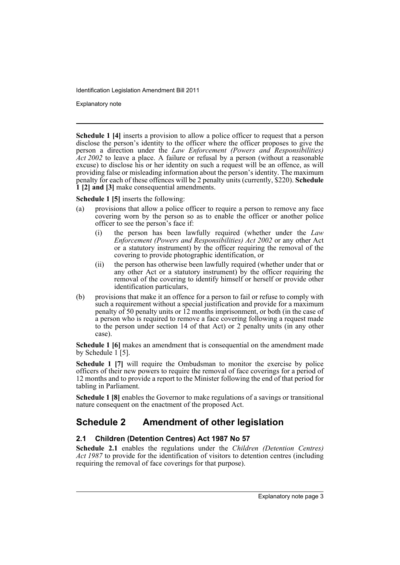Explanatory note

**Schedule 1 [4]** inserts a provision to allow a police officer to request that a person disclose the person's identity to the officer where the officer proposes to give the person a direction under the *Law Enforcement (Powers and Responsibilities) Act 2002* to leave a place. A failure or refusal by a person (without a reasonable excuse) to disclose his or her identity on such a request will be an offence, as will providing false or misleading information about the person's identity. The maximum penalty for each of these offences will be 2 penalty units (currently, \$220). **Schedule 1 [2] and [3]** make consequential amendments.

**Schedule 1 [5]** inserts the following:

- (a) provisions that allow a police officer to require a person to remove any face covering worn by the person so as to enable the officer or another police officer to see the person's face if:
	- (i) the person has been lawfully required (whether under the *Law Enforcement (Powers and Responsibilities) Act 2002* or any other Act or a statutory instrument) by the officer requiring the removal of the covering to provide photographic identification, or
	- (ii) the person has otherwise been lawfully required (whether under that or any other Act or a statutory instrument) by the officer requiring the removal of the covering to identify himself or herself or provide other identification particulars,
- (b) provisions that make it an offence for a person to fail or refuse to comply with such a requirement without a special justification and provide for a maximum penalty of 50 penalty units or 12 months imprisonment, or both (in the case of a person who is required to remove a face covering following a request made to the person under section 14 of that Act) or 2 penalty units (in any other case).

**Schedule 1 [6]** makes an amendment that is consequential on the amendment made by Schedule 1<sup>[5]</sup>.

**Schedule 1 [7]** will require the Ombudsman to monitor the exercise by police officers of their new powers to require the removal of face coverings for a period of 12 months and to provide a report to the Minister following the end of that period for tabling in Parliament.

**Schedule 1 [8]** enables the Governor to make regulations of a savings or transitional nature consequent on the enactment of the proposed Act.

### **Schedule 2 Amendment of other legislation**

### **2.1 Children (Detention Centres) Act 1987 No 57**

**Schedule 2.1** enables the regulations under the *Children (Detention Centres) Act 1987* to provide for the identification of visitors to detention centres (including requiring the removal of face coverings for that purpose).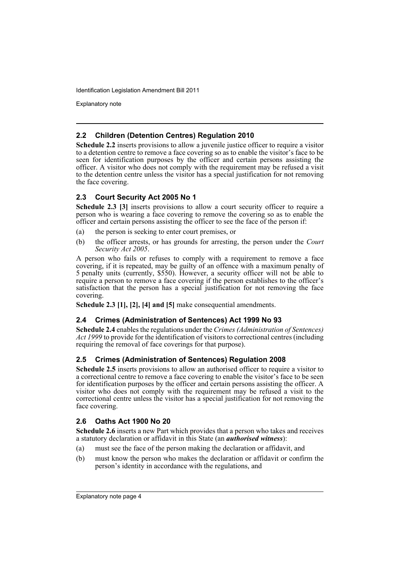Explanatory note

#### **2.2 Children (Detention Centres) Regulation 2010**

**Schedule 2.2** inserts provisions to allow a juvenile justice officer to require a visitor to a detention centre to remove a face covering so as to enable the visitor's face to be seen for identification purposes by the officer and certain persons assisting the officer. A visitor who does not comply with the requirement may be refused a visit to the detention centre unless the visitor has a special justification for not removing the face covering.

#### **2.3 Court Security Act 2005 No 1**

**Schedule 2.3 [3]** inserts provisions to allow a court security officer to require a person who is wearing a face covering to remove the covering so as to enable the officer and certain persons assisting the officer to see the face of the person if:

- (a) the person is seeking to enter court premises, or
- (b) the officer arrests, or has grounds for arresting, the person under the *Court Security Act 2005*.

A person who fails or refuses to comply with a requirement to remove a face covering, if it is repeated, may be guilty of an offence with a maximum penalty of 5 penalty units (currently, \$550). However, a security officer will not be able to require a person to remove a face covering if the person establishes to the officer's satisfaction that the person has a special justification for not removing the face covering.

**Schedule 2.3 [1], [2], [4] and [5]** make consequential amendments.

#### **2.4 Crimes (Administration of Sentences) Act 1999 No 93**

**Schedule 2.4** enables the regulations under the *Crimes (Administration of Sentences) Act 1999* to provide for the identification of visitors to correctional centres (including requiring the removal of face coverings for that purpose).

### **2.5 Crimes (Administration of Sentences) Regulation 2008**

**Schedule 2.5** inserts provisions to allow an authorised officer to require a visitor to a correctional centre to remove a face covering to enable the visitor's face to be seen for identification purposes by the officer and certain persons assisting the officer. A visitor who does not comply with the requirement may be refused a visit to the correctional centre unless the visitor has a special justification for not removing the face covering.

### **2.6 Oaths Act 1900 No 20**

**Schedule 2.6** inserts a new Part which provides that a person who takes and receives a statutory declaration or affidavit in this State (an *authorised witness*):

- (a) must see the face of the person making the declaration or affidavit, and
- (b) must know the person who makes the declaration or affidavit or confirm the person's identity in accordance with the regulations, and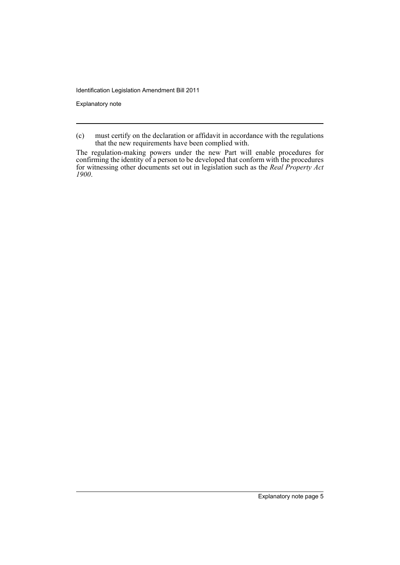Explanatory note

<sup>(</sup>c) must certify on the declaration or affidavit in accordance with the regulations that the new requirements have been complied with.

The regulation-making powers under the new Part will enable procedures for confirming the identity of a person to be developed that conform with the procedures for witnessing other documents set out in legislation such as the *Real Property Act 1900*.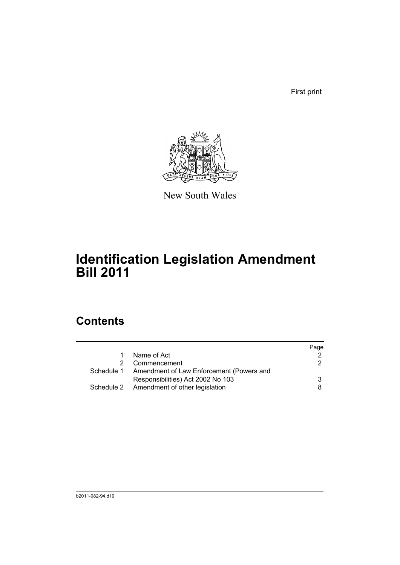First print



New South Wales

# **Identification Legislation Amendment Bill 2011**

## **Contents**

|                                                     | Page |
|-----------------------------------------------------|------|
| Name of Act                                         |      |
| Commencement                                        | 2    |
| Schedule 1 Amendment of Law Enforcement (Powers and |      |
| Responsibilities) Act 2002 No 103                   | 3    |
| Schedule 2 Amendment of other legislation           | 8    |
|                                                     |      |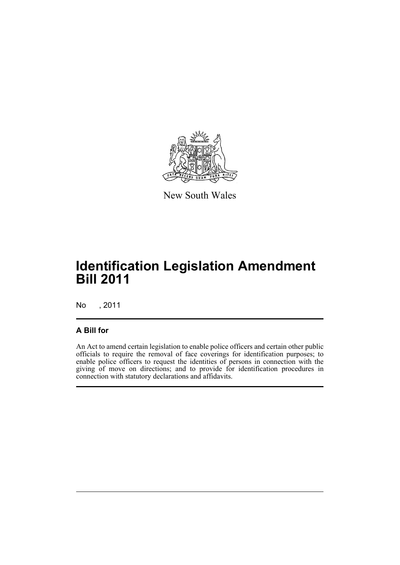

New South Wales

# **Identification Legislation Amendment Bill 2011**

No , 2011

### **A Bill for**

An Act to amend certain legislation to enable police officers and certain other public officials to require the removal of face coverings for identification purposes; to enable police officers to request the identities of persons in connection with the giving of move on directions; and to provide for identification procedures in connection with statutory declarations and affidavits.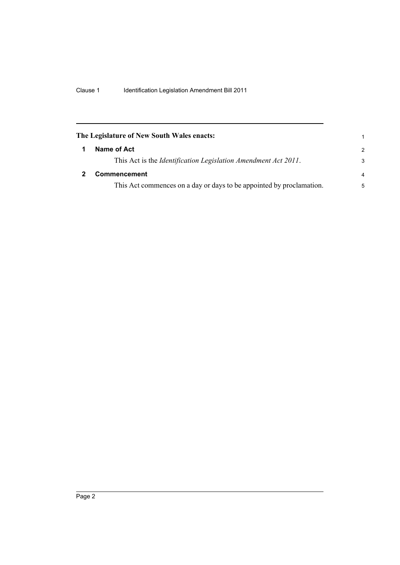<span id="page-9-1"></span><span id="page-9-0"></span>

| The Legislature of New South Wales enacts: |                                                                        |               |
|--------------------------------------------|------------------------------------------------------------------------|---------------|
|                                            | Name of Act                                                            | $\mathcal{P}$ |
|                                            | This Act is the <i>Identification Legislation Amendment Act 2011</i> . | 3             |
|                                            | <b>Commencement</b>                                                    | 4             |
|                                            | This Act commences on a day or days to be appointed by proclamation.   | 5             |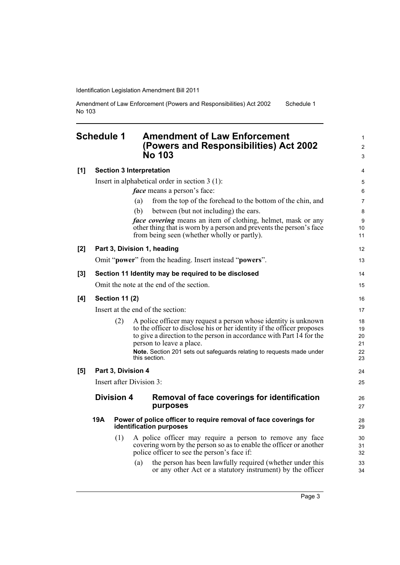Amendment of Law Enforcement (Powers and Responsibilities) Act 2002 No 103 Schedule 1

### <span id="page-10-0"></span>**Schedule 1 Amendment of Law Enforcement (Powers and Responsibilities) Act 2002 No 103**

| [1] | <b>Section 3 Interpretation</b> |                                                                                             |                                                                                                                                                                               |                  |  |
|-----|---------------------------------|---------------------------------------------------------------------------------------------|-------------------------------------------------------------------------------------------------------------------------------------------------------------------------------|------------------|--|
|     |                                 |                                                                                             | Insert in alphabetical order in section $3(1)$ :                                                                                                                              | $\mathbf 5$      |  |
|     |                                 |                                                                                             | <i>face</i> means a person's face:                                                                                                                                            | $\,6\,$          |  |
|     |                                 |                                                                                             | from the top of the forehead to the bottom of the chin, and<br>(a)                                                                                                            | 7                |  |
|     |                                 |                                                                                             | (b)<br>between (but not including) the ears.                                                                                                                                  | 8                |  |
|     |                                 |                                                                                             | <i>face covering</i> means an item of clothing, helmet, mask or any                                                                                                           | $\boldsymbol{9}$ |  |
|     |                                 |                                                                                             | other thing that is worn by a person and prevents the person's face<br>from being seen (whether wholly or partly).                                                            | 10<br>11         |  |
|     |                                 |                                                                                             |                                                                                                                                                                               |                  |  |
| [2] |                                 |                                                                                             | Part 3, Division 1, heading                                                                                                                                                   | 12               |  |
|     |                                 |                                                                                             | Omit "power" from the heading. Insert instead "powers".                                                                                                                       | 13               |  |
| [3] |                                 |                                                                                             | Section 11 Identity may be required to be disclosed                                                                                                                           | 14               |  |
|     |                                 |                                                                                             | Omit the note at the end of the section.                                                                                                                                      | 15               |  |
| [4] | <b>Section 11 (2)</b>           |                                                                                             |                                                                                                                                                                               |                  |  |
|     |                                 |                                                                                             | Insert at the end of the section:                                                                                                                                             | 17               |  |
|     |                                 | (2)                                                                                         | A police officer may request a person whose identity is unknown                                                                                                               | 18               |  |
|     |                                 |                                                                                             | to the officer to disclose his or her identity if the officer proposes<br>to give a direction to the person in accordance with Part 14 for the                                | 19<br>20         |  |
|     |                                 |                                                                                             | person to leave a place.                                                                                                                                                      | 21               |  |
|     |                                 |                                                                                             | Note. Section 201 sets out safeguards relating to requests made under<br>this section.                                                                                        | 22<br>23         |  |
| [5] |                                 |                                                                                             | Part 3, Division 4                                                                                                                                                            | 24               |  |
|     |                                 |                                                                                             | Insert after Division 3:                                                                                                                                                      | 25               |  |
|     |                                 | <b>Division 4</b>                                                                           | Removal of face coverings for identification<br>purposes                                                                                                                      | 26<br>27         |  |
|     | <b>19A</b>                      | Power of police officer to require removal of face coverings for<br>identification purposes |                                                                                                                                                                               |                  |  |
|     |                                 | (1)                                                                                         | A police officer may require a person to remove any face<br>covering worn by the person so as to enable the officer or another<br>police officer to see the person's face if: | 30<br>31<br>32   |  |
|     |                                 |                                                                                             | the person has been lawfully required (whether under this<br>(a)<br>or any other Act or a statutory instrument) by the officer                                                | 33<br>34         |  |

1 2 3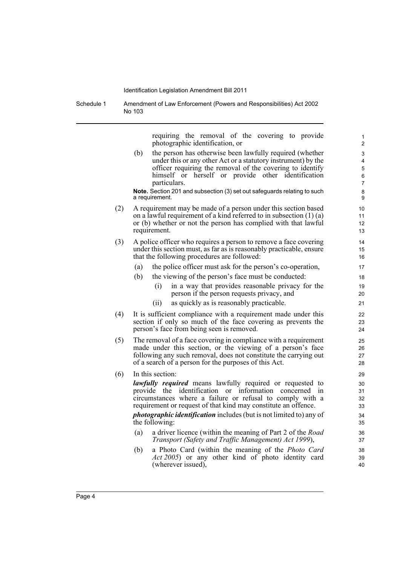Schedule 1 Amendment of Law Enforcement (Powers and Responsibilities) Act 2002 No 103

> requiring the removal of the covering to provide photographic identification, or

(b) the person has otherwise been lawfully required (whether under this or any other Act or a statutory instrument) by the officer requiring the removal of the covering to identify himself or herself or provide other identification particulars.

**Note.** Section 201 and subsection (3) set out safeguards relating to such a requirement.

- (2) A requirement may be made of a person under this section based on a lawful requirement of a kind referred to in subsection (1) (a) or (b) whether or not the person has complied with that lawful requirement.
- (3) A police officer who requires a person to remove a face covering under this section must, as far as is reasonably practicable, ensure that the following procedures are followed:
	- (a) the police officer must ask for the person's co-operation,
	- (b) the viewing of the person's face must be conducted:
		- (i) in a way that provides reasonable privacy for the person if the person requests privacy, and
		- (ii) as quickly as is reasonably practicable.
- (4) It is sufficient compliance with a requirement made under this section if only so much of the face covering as prevents the person's face from being seen is removed.
- (5) The removal of a face covering in compliance with a requirement made under this section, or the viewing of a person's face following any such removal, does not constitute the carrying out of a search of a person for the purposes of this Act.
- (6) In this section:

*lawfully required* means lawfully required or requested to provide the identification or information concerned in circumstances where a failure or refusal to comply with a requirement or request of that kind may constitute an offence.

*photographic identification* includes (but is not limited to) any of the following:

- (a) a driver licence (within the meaning of Part 2 of the *Road Transport (Safety and Traffic Management) Act 1999*),
- (b) a Photo Card (within the meaning of the *Photo Card Act 2005*) or any other kind of photo identity card (wherever issued),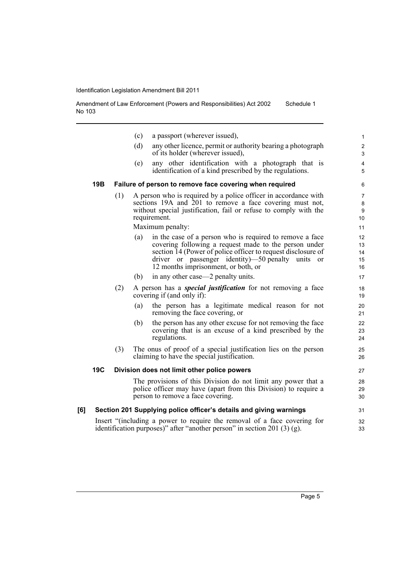Amendment of Law Enforcement (Powers and Responsibilities) Act 2002 No 103 Schedule 1

|     |            |     | (c) | a passport (wherever issued),                                                                                                                                                                                                                                                    | $\mathbf{1}$                   |
|-----|------------|-----|-----|----------------------------------------------------------------------------------------------------------------------------------------------------------------------------------------------------------------------------------------------------------------------------------|--------------------------------|
|     |            |     | (d) | any other licence, permit or authority bearing a photograph<br>of its holder (wherever issued),                                                                                                                                                                                  | $\boldsymbol{2}$<br>3          |
|     |            |     | (e) | any other identification with a photograph that is<br>identification of a kind prescribed by the regulations.                                                                                                                                                                    | $\overline{4}$<br>5            |
|     | 19B        |     |     | Failure of person to remove face covering when required                                                                                                                                                                                                                          | 6                              |
|     |            | (1) |     | A person who is required by a police officer in accordance with<br>sections 19A and 201 to remove a face covering must not,<br>without special justification, fail or refuse to comply with the<br>requirement.                                                                  | $\overline{7}$<br>8<br>9<br>10 |
|     |            |     |     | Maximum penalty:                                                                                                                                                                                                                                                                 | 11                             |
|     |            |     | (a) | in the case of a person who is required to remove a face<br>covering following a request made to the person under<br>section 14 (Power of police officer to request disclosure of<br>driver or passenger identity)—50 penalty units<br>or<br>12 months imprisonment, or both, or | 12<br>13<br>14<br>15<br>16     |
|     |            |     | (b) | in any other case—2 penalty units.                                                                                                                                                                                                                                               | 17                             |
|     |            | (2) |     | A person has a <i>special justification</i> for not removing a face<br>covering if (and only if):                                                                                                                                                                                | 18<br>19                       |
|     |            |     | (a) | the person has a legitimate medical reason for not<br>removing the face covering, or                                                                                                                                                                                             | 20<br>21                       |
|     |            |     | (b) | the person has any other excuse for not removing the face<br>covering that is an excuse of a kind prescribed by the<br>regulations.                                                                                                                                              | 22<br>23<br>24                 |
|     |            | (3) |     | The onus of proof of a special justification lies on the person<br>claiming to have the special justification.                                                                                                                                                                   | 25<br>26                       |
|     | <b>19C</b> |     |     | Division does not limit other police powers                                                                                                                                                                                                                                      | 27                             |
|     |            |     |     | The provisions of this Division do not limit any power that a<br>police officer may have (apart from this Division) to require a<br>person to remove a face covering.                                                                                                            | 28<br>29<br>30                 |
| [6] |            |     |     | Section 201 Supplying police officer's details and giving warnings                                                                                                                                                                                                               | 31                             |
|     |            |     |     | Insert "(including a power to require the removal of a face covering for<br>identification purposes)" after "another person" in section 201 $(3)(g)$ .                                                                                                                           | 32<br>33                       |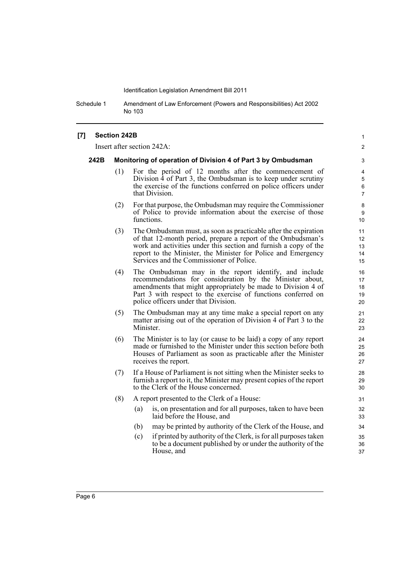Schedule 1 Amendment of Law Enforcement (Powers and Responsibilities) Act 2002 No 103

#### **[7] Section 242B**

Insert after section 242A:

#### **242B Monitoring of operation of Division 4 of Part 3 by Ombudsman**

(1) For the period of 12 months after the commencement of Division 4 of Part 3, the Ombudsman is to keep under scrutiny the exercise of the functions conferred on police officers under that Division.

1  $\mathfrak{p}$ 

- (2) For that purpose, the Ombudsman may require the Commissioner of Police to provide information about the exercise of those functions.
- (3) The Ombudsman must, as soon as practicable after the expiration of that 12-month period, prepare a report of the Ombudsman's work and activities under this section and furnish a copy of the report to the Minister, the Minister for Police and Emergency Services and the Commissioner of Police.
- (4) The Ombudsman may in the report identify, and include recommendations for consideration by the Minister about, amendments that might appropriately be made to Division 4 of Part 3 with respect to the exercise of functions conferred on police officers under that Division.
- (5) The Ombudsman may at any time make a special report on any matter arising out of the operation of Division 4 of Part 3 to the Minister.
- (6) The Minister is to lay (or cause to be laid) a copy of any report made or furnished to the Minister under this section before both Houses of Parliament as soon as practicable after the Minister receives the report.
- (7) If a House of Parliament is not sitting when the Minister seeks to furnish a report to it, the Minister may present copies of the report to the Clerk of the House concerned.
- (8) A report presented to the Clerk of a House:
	- (a) is, on presentation and for all purposes, taken to have been laid before the House, and
	- (b) may be printed by authority of the Clerk of the House, and
	- (c) if printed by authority of the Clerk, is for all purposes taken to be a document published by or under the authority of the House, and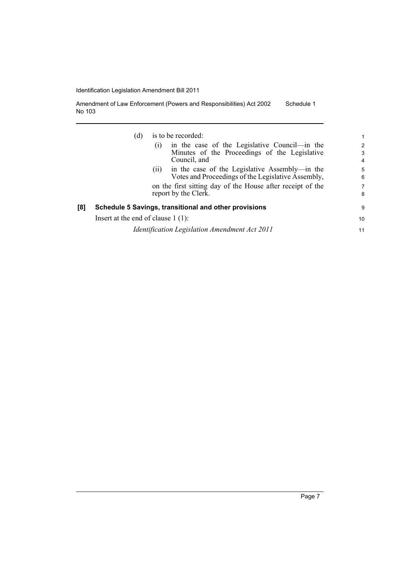| Amendment of Law Enforcement (Powers and Responsibilities) Act 2002 | Schedule 1 |
|---------------------------------------------------------------------|------------|
| No 103                                                              |            |

|     | is to be recorded:<br>(d)<br>in the case of the Legislative Council—in the<br>(1)<br>Minutes of the Proceedings of the Legislative<br>Council, and                                                 | 1<br>2<br>3<br>4 |
|-----|----------------------------------------------------------------------------------------------------------------------------------------------------------------------------------------------------|------------------|
|     | in the case of the Legislative Assembly—in the<br>(11)<br>Votes and Proceedings of the Legislative Assembly,<br>on the first sitting day of the House after receipt of the<br>report by the Clerk. | 5<br>6<br>7<br>8 |
| [8] | Schedule 5 Savings, transitional and other provisions                                                                                                                                              | 9                |
|     | Insert at the end of clause $1(1)$ :                                                                                                                                                               | 10               |
|     | Identification Legislation Amendment Act 2011                                                                                                                                                      | 11               |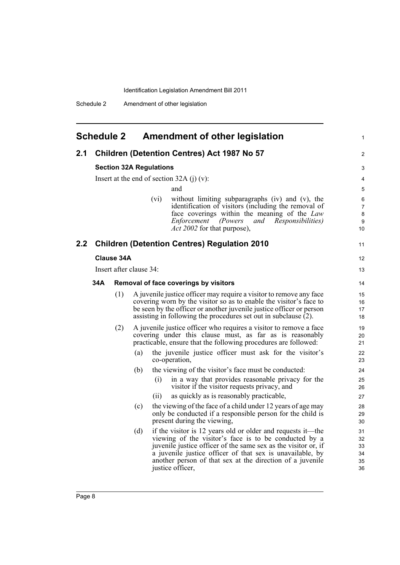<span id="page-15-0"></span>

|               |     | <b>Schedule 2</b> |                         | Amendment of other legislation                                                                                                                                                                                                                                                                                                       |
|---------------|-----|-------------------|-------------------------|--------------------------------------------------------------------------------------------------------------------------------------------------------------------------------------------------------------------------------------------------------------------------------------------------------------------------------------|
| 2.1           |     |                   |                         | <b>Children (Detention Centres) Act 1987 No 57</b>                                                                                                                                                                                                                                                                                   |
|               |     |                   |                         | <b>Section 32A Regulations</b>                                                                                                                                                                                                                                                                                                       |
|               |     |                   |                         | Insert at the end of section 32A (j) $(v)$ :                                                                                                                                                                                                                                                                                         |
|               |     |                   |                         | and                                                                                                                                                                                                                                                                                                                                  |
|               |     |                   |                         | without limiting subparagraphs (iv) and (v), the<br>(vi)<br>identification of visitors (including the removal of<br>face coverings within the meaning of the Law<br>Enforcement (Powers and<br><i>Responsibilities</i> )<br><i>Act 2002</i> for that purpose),                                                                       |
| $2.2^{\circ}$ |     |                   |                         | <b>Children (Detention Centres) Regulation 2010</b>                                                                                                                                                                                                                                                                                  |
|               |     | <b>Clause 34A</b> |                         |                                                                                                                                                                                                                                                                                                                                      |
|               |     |                   | Insert after clause 34: |                                                                                                                                                                                                                                                                                                                                      |
|               | 34A |                   |                         | Removal of face coverings by visitors                                                                                                                                                                                                                                                                                                |
|               |     | (1)               |                         | A juvenile justice officer may require a visitor to remove any face<br>covering worn by the visitor so as to enable the visitor's face to<br>be seen by the officer or another juvenile justice officer or person<br>assisting in following the procedures set out in subclause (2).                                                 |
|               |     | (2)               |                         | A juvenile justice officer who requires a visitor to remove a face<br>covering under this clause must, as far as is reasonably<br>practicable, ensure that the following procedures are followed:                                                                                                                                    |
|               |     |                   | (a)                     | the juvenile justice officer must ask for the visitor's<br>co-operation,                                                                                                                                                                                                                                                             |
|               |     |                   | (b)                     | the viewing of the visitor's face must be conducted:                                                                                                                                                                                                                                                                                 |
|               |     |                   |                         | in a way that provides reasonable privacy for the<br>(i)<br>visitor if the visitor requests privacy, and                                                                                                                                                                                                                             |
|               |     |                   |                         | as quickly as is reasonably practicable,<br>(ii)                                                                                                                                                                                                                                                                                     |
|               |     |                   | (c)                     | the viewing of the face of a child under 12 years of age may<br>only be conducted if a responsible person for the child is<br>present during the viewing,                                                                                                                                                                            |
|               |     |                   | (d)                     | if the visitor is 12 years old or older and requests it—the<br>viewing of the visitor's face is to be conducted by a<br>juvenile justice officer of the same sex as the visitor or, if<br>a juvenile justice officer of that sex is unavailable, by<br>another person of that sex at the direction of a juvenile<br>justice officer, |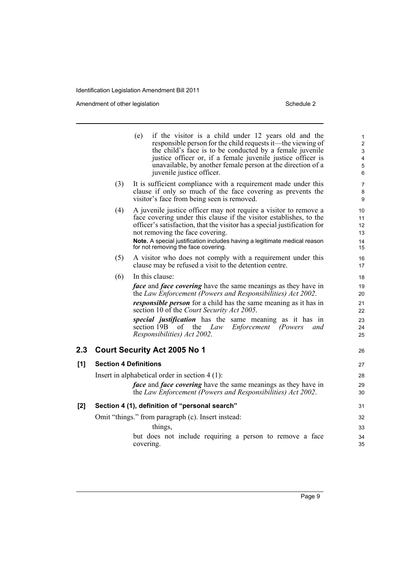Amendment of other legislation Schedule 2

 $[1]$ 

|       |                              | (e)<br>if the visitor is a child under 12 years old and the<br>responsible person for the child requests it—the viewing of<br>the child's face is to be conducted by a female juvenile<br>justice officer or, if a female juvenile justice officer is<br>unavailable, by another female person at the direction of a<br>juvenile justice officer.                                                                                                            | 1<br>$\overline{2}$<br>$\mathfrak{S}$<br>$\overline{4}$<br>5<br>6 |
|-------|------------------------------|--------------------------------------------------------------------------------------------------------------------------------------------------------------------------------------------------------------------------------------------------------------------------------------------------------------------------------------------------------------------------------------------------------------------------------------------------------------|-------------------------------------------------------------------|
|       | (3)                          | It is sufficient compliance with a requirement made under this<br>clause if only so much of the face covering as prevents the<br>visitor's face from being seen is removed.                                                                                                                                                                                                                                                                                  | 7<br>8<br>9                                                       |
|       | (4)                          | A juvenile justice officer may not require a visitor to remove a<br>face covering under this clause if the visitor establishes, to the<br>officer's satisfaction, that the visitor has a special justification for<br>not removing the face covering.<br>Note. A special justification includes having a legitimate medical reason<br>for not removing the face covering.                                                                                    | 10<br>11<br>12 <sup>2</sup><br>13<br>14<br>15                     |
|       | (5)                          | A visitor who does not comply with a requirement under this<br>clause may be refused a visit to the detention centre.                                                                                                                                                                                                                                                                                                                                        | 16<br>17                                                          |
|       | (6)                          | In this clause:<br><i>face</i> and <i>face covering</i> have the same meanings as they have in<br>the Law Enforcement (Powers and Responsibilities) Act 2002.<br><i>responsible person</i> for a child has the same meaning as it has in<br>section 10 of the Court Security Act 2005.<br><i>special justification</i> has the same meaning as it has in<br>section 19B<br>Enforcement<br>the<br>(Powers)<br>οť<br>Law<br>and<br>Responsibilities) Act 2002. | 18<br>19<br>20<br>21<br>22<br>23<br>24<br>25                      |
| 2.3   |                              | <b>Court Security Act 2005 No 1</b>                                                                                                                                                                                                                                                                                                                                                                                                                          | 26                                                                |
| [1]   | <b>Section 4 Definitions</b> | Insert in alphabetical order in section $4(1)$ :<br><i>face</i> and <i>face covering</i> have the same meanings as they have in<br>the Law Enforcement (Powers and Responsibilities) Act 2002.                                                                                                                                                                                                                                                               | 27<br>28<br>29<br>30                                              |
| $[2]$ |                              | Section 4 (1), definition of "personal search"                                                                                                                                                                                                                                                                                                                                                                                                               | 31                                                                |
|       |                              | Omit "things." from paragraph (c). Insert instead:<br>things,<br>but does not include requiring a person to remove a face<br>covering.                                                                                                                                                                                                                                                                                                                       | 32<br>33<br>34<br>35                                              |
|       |                              |                                                                                                                                                                                                                                                                                                                                                                                                                                                              |                                                                   |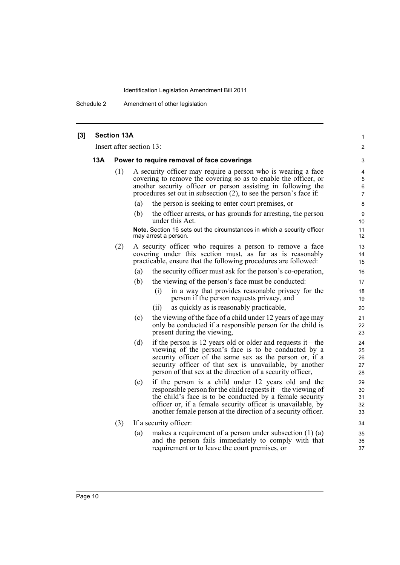Schedule 2 Amendment of other legislation

| [3] | <b>Section 13A</b><br>Insert after section 13: |     |                                                                                                                                                                                                                                                                                                                       |                               |
|-----|------------------------------------------------|-----|-----------------------------------------------------------------------------------------------------------------------------------------------------------------------------------------------------------------------------------------------------------------------------------------------------------------------|-------------------------------|
|     |                                                |     |                                                                                                                                                                                                                                                                                                                       |                               |
|     | <b>13A</b>                                     |     | Power to require removal of face coverings                                                                                                                                                                                                                                                                            | 3                             |
|     |                                                | (1) | A security officer may require a person who is wearing a face<br>covering to remove the covering so as to enable the officer, or<br>another security officer or person assisting in following the<br>procedures set out in subsection $(2)$ , to see the person's face if:                                            | 4<br>5<br>6<br>$\overline{7}$ |
|     |                                                |     | (a)<br>the person is seeking to enter court premises, or                                                                                                                                                                                                                                                              | 8                             |
|     |                                                |     | the officer arrests, or has grounds for arresting, the person<br>(b)<br>under this Act.                                                                                                                                                                                                                               | 9<br>10                       |
|     |                                                |     | Note. Section 16 sets out the circumstances in which a security officer<br>may arrest a person.                                                                                                                                                                                                                       | 11<br>12                      |
|     |                                                | (2) | A security officer who requires a person to remove a face<br>covering under this section must, as far as is reasonably<br>practicable, ensure that the following procedures are followed:                                                                                                                             | 13<br>14<br>15                |
|     |                                                |     | the security officer must ask for the person's co-operation,<br>(a)                                                                                                                                                                                                                                                   | 16                            |
|     |                                                |     | the viewing of the person's face must be conducted:<br>(b)                                                                                                                                                                                                                                                            | 17                            |
|     |                                                |     | in a way that provides reasonable privacy for the<br>(i)<br>person if the person requests privacy, and                                                                                                                                                                                                                | 18<br>19                      |
|     |                                                |     | as quickly as is reasonably practicable,<br>(ii)                                                                                                                                                                                                                                                                      | 20                            |
|     |                                                |     | the viewing of the face of a child under 12 years of age may<br>(c)<br>only be conducted if a responsible person for the child is<br>present during the viewing,                                                                                                                                                      | 21<br>22<br>23                |
|     |                                                |     | if the person is 12 years old or older and requests it—the<br>(d)<br>viewing of the person's face is to be conducted by a<br>security officer of the same sex as the person or, if a<br>security officer of that sex is unavailable, by another<br>person of that sex at the direction of a security officer,         | 24<br>25<br>26<br>27<br>28    |
|     |                                                |     | if the person is a child under 12 years old and the<br>(e)<br>responsible person for the child requests it—the viewing of<br>the child's face is to be conducted by a female security<br>officer or, if a female security officer is unavailable, by<br>another female person at the direction of a security officer. | 29<br>30<br>31<br>32<br>33    |
|     |                                                | (3) | If a security officer:                                                                                                                                                                                                                                                                                                | 34                            |
|     |                                                |     | (a)<br>makes a requirement of a person under subsection $(1)$ (a)<br>and the person fails immediately to comply with that<br>requirement or to leave the court premises, or                                                                                                                                           | 35<br>36<br>37                |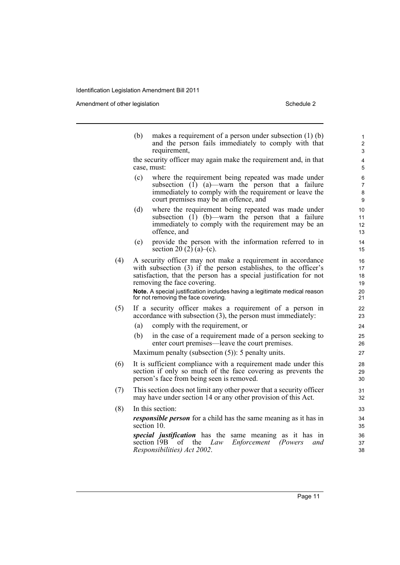Amendment of other legislation Schedule 2

|     | (b)                                                                                                                                                                         | makes a requirement of a person under subsection $(1)$ (b)<br>and the person fails immediately to comply with that<br>requirement,                                                                                                                                                                                                                     | 1<br>$\overline{2}$<br>3         |
|-----|-----------------------------------------------------------------------------------------------------------------------------------------------------------------------------|--------------------------------------------------------------------------------------------------------------------------------------------------------------------------------------------------------------------------------------------------------------------------------------------------------------------------------------------------------|----------------------------------|
|     |                                                                                                                                                                             | the security officer may again make the requirement and, in that<br>case, must:                                                                                                                                                                                                                                                                        | $\overline{4}$<br>5              |
|     | (c)                                                                                                                                                                         | where the requirement being repeated was made under<br>subsection $(\overline{1})$ (a)—warn the person that a failure<br>immediately to comply with the requirement or leave the<br>court premises may be an offence, and                                                                                                                              | 6<br>$\overline{7}$<br>8<br>9    |
|     | (d)                                                                                                                                                                         | where the requirement being repeated was made under<br>subsection $(\overline{1})$ (b)—warn the person that a failure<br>immediately to comply with the requirement may be an<br>offence, and                                                                                                                                                          | 10<br>11<br>12<br>13             |
|     | (e)                                                                                                                                                                         | provide the person with the information referred to in<br>section 20 (2) (a)–(c).                                                                                                                                                                                                                                                                      | 14<br>15                         |
| (4) |                                                                                                                                                                             | A security officer may not make a requirement in accordance<br>with subsection (3) if the person establishes, to the officer's<br>satisfaction, that the person has a special justification for not<br>removing the face covering.<br>Note. A special justification includes having a legitimate medical reason<br>for not removing the face covering. | 16<br>17<br>18<br>19<br>20<br>21 |
| (5) |                                                                                                                                                                             | If a security officer makes a requirement of a person in<br>accordance with subsection (3), the person must immediately:                                                                                                                                                                                                                               | 22<br>23                         |
|     | (a)                                                                                                                                                                         | comply with the requirement, or                                                                                                                                                                                                                                                                                                                        | 24                               |
|     | (b)                                                                                                                                                                         | in the case of a requirement made of a person seeking to<br>enter court premises—leave the court premises.                                                                                                                                                                                                                                             | 25<br>26                         |
|     |                                                                                                                                                                             | Maximum penalty (subsection $(5)$ ): 5 penalty units.                                                                                                                                                                                                                                                                                                  | 27                               |
| (6) | It is sufficient compliance with a requirement made under this<br>section if only so much of the face covering as prevents the<br>person's face from being seen is removed. |                                                                                                                                                                                                                                                                                                                                                        |                                  |
| (7) |                                                                                                                                                                             | This section does not limit any other power that a security officer<br>may have under section 14 or any other provision of this Act.                                                                                                                                                                                                                   | 31<br>32                         |
| (8) |                                                                                                                                                                             | In this section:                                                                                                                                                                                                                                                                                                                                       | 33                               |
|     |                                                                                                                                                                             | <i>responsible person</i> for a child has the same meaning as it has in<br>section 10.                                                                                                                                                                                                                                                                 | 34<br>35                         |
|     |                                                                                                                                                                             | special justification has the same meaning as it has in<br>section 19B<br>Enforcement (Powers<br>οf<br>the<br>Law<br>and<br>Responsibilities) Act 2002.                                                                                                                                                                                                | 36<br>37<br>38                   |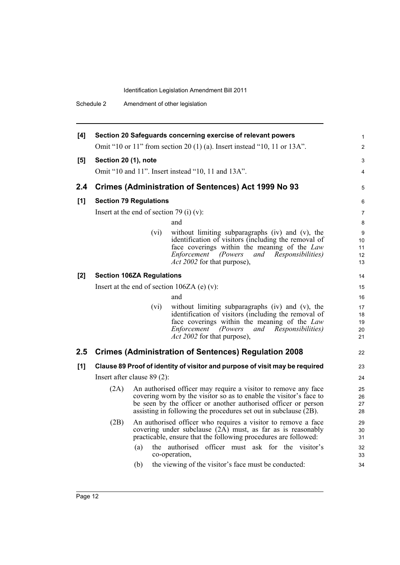Schedule 2 Amendment of other legislation

| [4]   |                      |                                          | Section 20 Safeguards concerning exercise of relevant powers                                                                                                                                                                                                               | $\mathbf{1}$               |
|-------|----------------------|------------------------------------------|----------------------------------------------------------------------------------------------------------------------------------------------------------------------------------------------------------------------------------------------------------------------------|----------------------------|
|       |                      |                                          | Omit "10 or 11" from section 20 (1) (a). Insert instead "10, 11 or 13A".                                                                                                                                                                                                   | $\overline{2}$             |
| [5]   | Section 20 (1), note |                                          |                                                                                                                                                                                                                                                                            | 3                          |
|       |                      |                                          | Omit "10 and 11". Insert instead "10, 11 and 13A".                                                                                                                                                                                                                         | $\overline{4}$             |
| 2.4   |                      |                                          | <b>Crimes (Administration of Sentences) Act 1999 No 93</b>                                                                                                                                                                                                                 | 5                          |
| [1]   |                      | <b>Section 79 Regulations</b>            |                                                                                                                                                                                                                                                                            | 6                          |
|       |                      | Insert at the end of section 79 (i) (v): |                                                                                                                                                                                                                                                                            | $\overline{7}$             |
|       |                      |                                          | and                                                                                                                                                                                                                                                                        | 8                          |
|       |                      | (vi)                                     | without limiting subparagraphs (iv) and (v), the<br>identification of visitors (including the removal of<br>face coverings within the meaning of the Law<br>Enforcement<br>(Powers<br><i>Responsibilities</i> )<br>and<br><i>Act 2002</i> for that purpose),               | 9<br>10<br>11<br>12<br>13  |
| $[2]$ |                      | <b>Section 106ZA Regulations</b>         |                                                                                                                                                                                                                                                                            | 14                         |
|       |                      |                                          | Insert at the end of section $106ZA(e)(v)$ :                                                                                                                                                                                                                               | 15                         |
|       |                      |                                          | and                                                                                                                                                                                                                                                                        | 16                         |
|       |                      | (vi)                                     | without limiting subparagraphs (iv) and (v), the<br>identification of visitors (including the removal of<br>face coverings within the meaning of the Law<br><b>Enforcement</b><br>(Powers)<br>and<br><i>Responsibilities</i> )<br><i>Act 2002</i> for that purpose),       | 17<br>18<br>19<br>20<br>21 |
| 2.5   |                      |                                          | <b>Crimes (Administration of Sentences) Regulation 2008</b>                                                                                                                                                                                                                | 22                         |
| [1]   |                      |                                          | Clause 89 Proof of identity of visitor and purpose of visit may be required                                                                                                                                                                                                | 23                         |
|       |                      | Insert after clause $89(2)$ :            |                                                                                                                                                                                                                                                                            | 24                         |
|       | (2A)                 |                                          | An authorised officer may require a visitor to remove any face<br>covering worn by the visitor so as to enable the visitor's face to<br>be seen by the officer or another authorised officer or person<br>assisting in following the procedures set out in subclause (2B). | 25<br>26<br>27<br>28       |
|       | (2B)                 |                                          | An authorised officer who requires a visitor to remove a face<br>covering under subclause $(2\overline{A})$ must, as far as is reasonably<br>practicable, ensure that the following procedures are followed:                                                               | 29<br>30<br>31             |
|       |                      | (a)                                      | the authorised officer must ask for the visitor's<br>co-operation,                                                                                                                                                                                                         | 32<br>33                   |
|       |                      | (b)                                      | the viewing of the visitor's face must be conducted:                                                                                                                                                                                                                       | 34                         |
|       |                      |                                          |                                                                                                                                                                                                                                                                            |                            |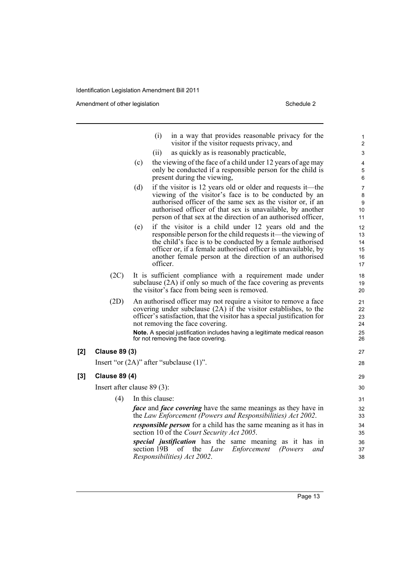Amendment of other legislation Schedule 2

**[2] Clause 89 (3)**

**[3] Clause 89 (4)**

|                      | (i)<br>in a way that provides reasonable privacy for the<br>visitor if the visitor requests privacy, and                                                                                                                                                                                                                                                                | 1<br>$\overline{2}$              |
|----------------------|-------------------------------------------------------------------------------------------------------------------------------------------------------------------------------------------------------------------------------------------------------------------------------------------------------------------------------------------------------------------------|----------------------------------|
|                      | (ii)<br>as quickly as is reasonably practicable,                                                                                                                                                                                                                                                                                                                        | 3                                |
|                      | the viewing of the face of a child under 12 years of age may<br>(c)<br>only be conducted if a responsible person for the child is<br>present during the viewing,                                                                                                                                                                                                        | 4<br>5<br>6                      |
|                      | (d)<br>if the visitor is 12 years old or older and requests it—the<br>viewing of the visitor's face is to be conducted by an<br>authorised officer of the same sex as the visitor or, if an<br>authorised officer of that sex is unavailable, by another<br>person of that sex at the direction of an authorised officer,                                               | 7<br>8<br>9<br>10<br>11          |
|                      | if the visitor is a child under 12 years old and the<br>(e)<br>responsible person for the child requests it—the viewing of<br>the child's face is to be conducted by a female authorised<br>officer or, if a female authorised officer is unavailable, by<br>another female person at the direction of an authorised<br>officer.                                        | 12<br>13<br>14<br>15<br>16<br>17 |
| (2C)                 | It is sufficient compliance with a requirement made under<br>subclause (2A) if only so much of the face covering as prevents<br>the visitor's face from being seen is removed.                                                                                                                                                                                          | 18<br>19<br>20                   |
| (2D)                 | An authorised officer may not require a visitor to remove a face<br>covering under subclause (2A) if the visitor establishes, to the<br>officer's satisfaction, that the visitor has a special justification for<br>not removing the face covering.<br>Note. A special justification includes having a legitimate medical reason<br>for not removing the face covering. | 21<br>22<br>23<br>24<br>25<br>26 |
| <b>Clause 89 (3)</b> |                                                                                                                                                                                                                                                                                                                                                                         | 27                               |
|                      | Insert "or $(2A)$ " after "subclause $(1)$ ".                                                                                                                                                                                                                                                                                                                           | 28                               |
| <b>Clause 89 (4)</b> |                                                                                                                                                                                                                                                                                                                                                                         | 29                               |
|                      | Insert after clause $89(3)$ :                                                                                                                                                                                                                                                                                                                                           | 30                               |
| (4)                  | In this clause:                                                                                                                                                                                                                                                                                                                                                         | 31                               |
|                      | <i>face</i> and <i>face covering</i> have the same meanings as they have in<br>the Law Enforcement (Powers and Responsibilities) Act 2002.                                                                                                                                                                                                                              | 32<br>33                         |
|                      | <i>responsible person</i> for a child has the same meaning as it has in<br>section 10 of the Court Security Act 2005.                                                                                                                                                                                                                                                   | 34<br>35                         |
|                      | special justification has the same meaning as it has in<br>section 19B<br>Law<br>Enforcement (Powers<br>οf<br>the<br>and<br>Responsibilities) Act 2002.                                                                                                                                                                                                                 | 36<br>37<br>38                   |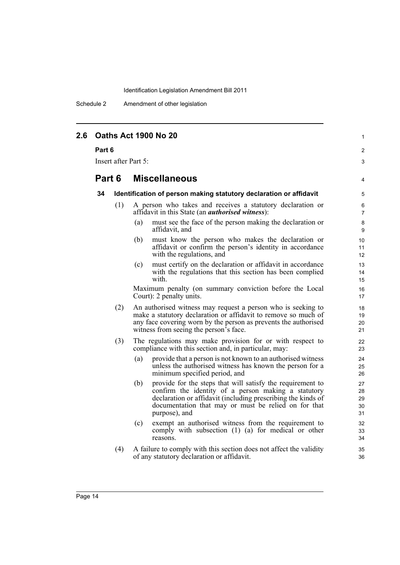Schedule 2 Amendment of other legislation

| 2.6 | <b>Oaths Act 1900 No 20</b><br>Part 6<br>Insert after Part 5: |     |                                                                                                                                                                                                                                                                   |                            |  |
|-----|---------------------------------------------------------------|-----|-------------------------------------------------------------------------------------------------------------------------------------------------------------------------------------------------------------------------------------------------------------------|----------------------------|--|
|     |                                                               |     |                                                                                                                                                                                                                                                                   |                            |  |
|     |                                                               |     |                                                                                                                                                                                                                                                                   |                            |  |
|     | Part 6                                                        |     | <b>Miscellaneous</b>                                                                                                                                                                                                                                              | 4                          |  |
|     | 34                                                            |     | Identification of person making statutory declaration or affidavit                                                                                                                                                                                                | 5                          |  |
|     |                                                               | (1) | A person who takes and receives a statutory declaration or<br>affidavit in this State (an <i>authorised witness</i> ):                                                                                                                                            | 6<br>$\overline{7}$        |  |
|     |                                                               |     | must see the face of the person making the declaration or<br>(a)<br>affidavit, and                                                                                                                                                                                | 8<br>9                     |  |
|     |                                                               |     | must know the person who makes the declaration or<br>(b)<br>affidavit or confirm the person's identity in accordance<br>with the regulations, and                                                                                                                 | 10<br>11<br>12             |  |
|     |                                                               |     | must certify on the declaration or affidavit in accordance<br>(c)<br>with the regulations that this section has been complied<br>with.                                                                                                                            | 13<br>14<br>15             |  |
|     |                                                               |     | Maximum penalty (on summary conviction before the Local<br>Court): 2 penalty units.                                                                                                                                                                               | 16<br>17                   |  |
|     |                                                               | (2) | An authorised witness may request a person who is seeking to<br>make a statutory declaration or affidavit to remove so much of<br>any face covering worn by the person as prevents the authorised<br>witness from seeing the person's face.                       | 18<br>19<br>20<br>21       |  |
|     |                                                               | (3) | The regulations may make provision for or with respect to<br>compliance with this section and, in particular, may:                                                                                                                                                | 22<br>23                   |  |
|     |                                                               |     | (a)<br>provide that a person is not known to an authorised witness<br>unless the authorised witness has known the person for a<br>minimum specified period, and                                                                                                   | 24<br>25<br>26             |  |
|     |                                                               |     | provide for the steps that will satisfy the requirement to<br>(b)<br>confirm the identity of a person making a statutory<br>declaration or affidavit (including prescribing the kinds of<br>documentation that may or must be relied on for that<br>purpose), and | 27<br>28<br>29<br>30<br>31 |  |
|     |                                                               |     | exempt an authorised witness from the requirement to<br>(c)<br>comply with subsection (1) (a) for medical or other<br>reasons.                                                                                                                                    | 32<br>33<br>34             |  |
|     |                                                               | (4) | A failure to comply with this section does not affect the validity<br>of any statutory declaration or affidavit.                                                                                                                                                  | 35<br>36                   |  |